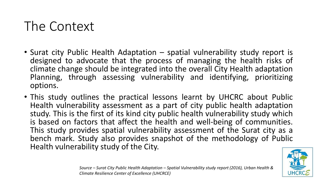## The Context

- Surat city Public Health Adaptation spatial vulnerability study report is designed to advocate that the process of managing the health risks of climate change should be integrated into the overall City Health adaptation Planning, through assessing vulnerability and identifying, prioritizing options.
- This study outlines the practical lessons learnt by UHCRC about Public Health vulnerability assessment as a part of city public health adaptation study. This is the first of its kind city public health vulnerability study which is based on factors that affect the health and well-being of communities. This study provides spatial vulnerability assessment of the Surat city as a bench mark. Study also provides snapshot of the methodology of Public Health vulnerability study of the City.